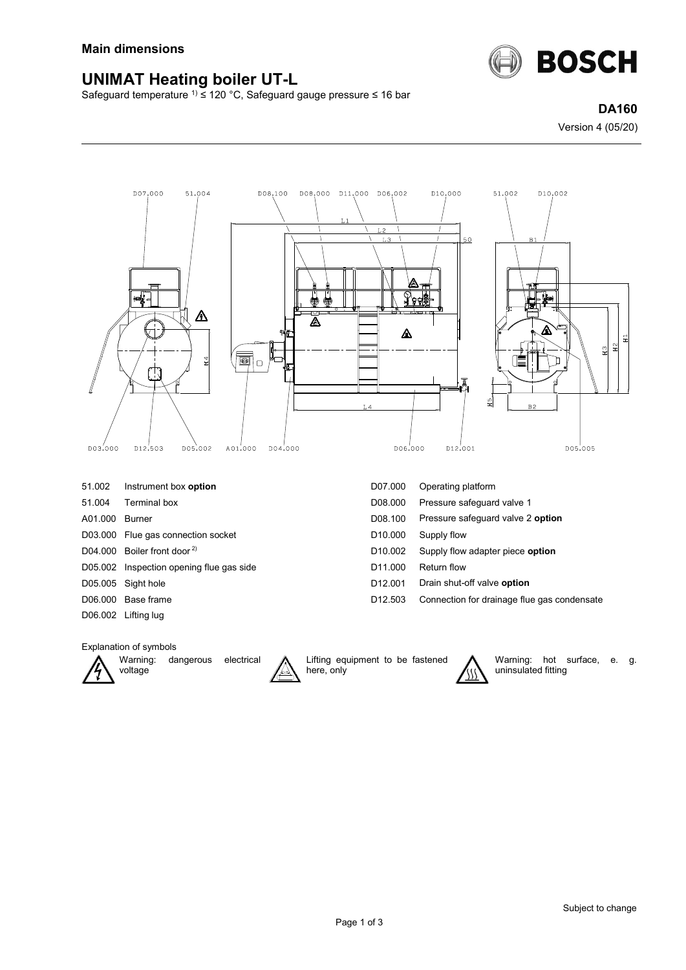

## **UNIMAT Heating boiler UT-L**

Safeguard temperature 1) ≤ 120 °C, Safeguard gauge pressure ≤ 16 bar

**DA160** Version 4 (05/20)



Explanation of symbols



Warning: dangerous electrical voltage



Lifting equipment to be fastened here, only



Warning: hot surface, e. g. uninsulated fitting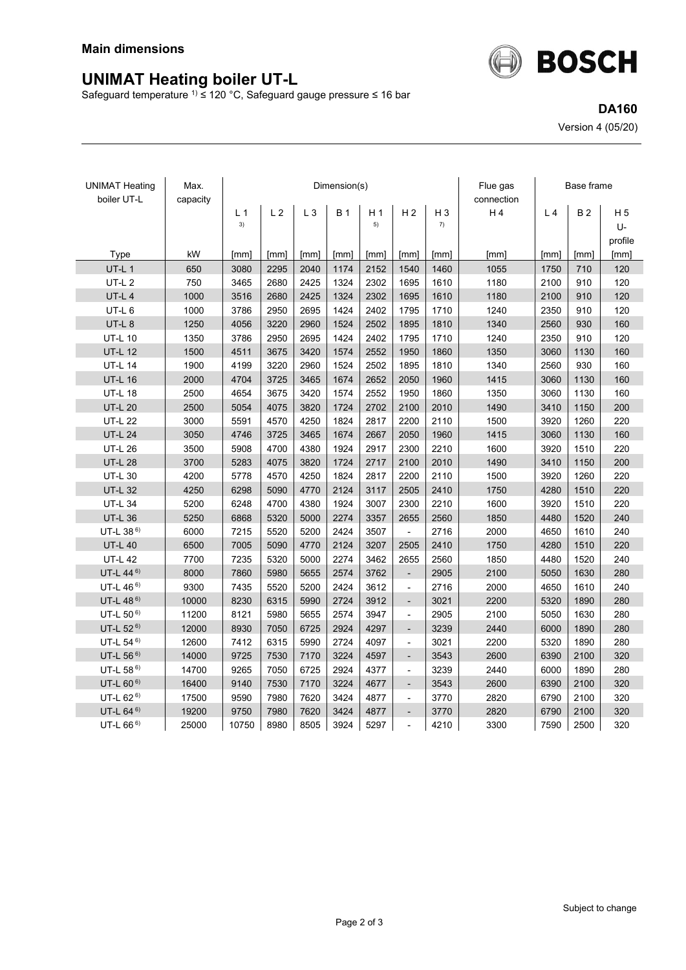

Safeguard temperature <sup>1)</sup> ≤ 120 °C, Safeguard gauge pressure ≤ 16 bar



**DA160** Version 4 (05/20)

| <b>UNIMAT Heating</b><br>boiler UT-L | Max.<br>capacity | Dimension(s)   |                |       |            |                |                          |       | Flue gas<br>connection | Base frame     |           |                |
|--------------------------------------|------------------|----------------|----------------|-------|------------|----------------|--------------------------|-------|------------------------|----------------|-----------|----------------|
|                                      |                  | L <sub>1</sub> | L <sub>2</sub> | $L_3$ | <b>B</b> 1 | H <sub>1</sub> | H <sub>2</sub>           | $H_3$ | H4                     | L <sub>4</sub> | <b>B2</b> | H <sub>5</sub> |
|                                      |                  | 3)             |                |       |            | 5)             |                          | 7)    |                        |                |           | U-             |
|                                      |                  |                |                |       |            |                |                          |       |                        |                |           | profile        |
| Type                                 | kW               | [mm]           | [mm]           | [mm]  | [mm]       | [mm]           | [mm]                     | [mm]  | [mm]                   | [mm]           | [mm]      | [mm]           |
| UT-L 1                               | 650              | 3080           | 2295           | 2040  | 1174       | 2152           | 1540                     | 1460  | 1055                   | 1750           | 710       | 120            |
| <b>UT-L2</b>                         | 750              | 3465           | 2680           | 2425  | 1324       | 2302           | 1695                     | 1610  | 1180                   | 2100           | 910       | 120            |
| UT-L 4                               | 1000             | 3516           | 2680           | 2425  | 1324       | 2302           | 1695                     | 1610  | 1180                   | 2100           | 910       | 120            |
| UT-L 6                               | 1000             | 3786           | 2950           | 2695  | 1424       | 2402           | 1795                     | 1710  | 1240                   | 2350           | 910       | 120            |
| UT-L 8                               | 1250             | 4056           | 3220           | 2960  | 1524       | 2502           | 1895                     | 1810  | 1340                   | 2560           | 930       | 160            |
| <b>UT-L 10</b>                       | 1350             | 3786           | 2950           | 2695  | 1424       | 2402           | 1795                     | 1710  | 1240                   | 2350           | 910       | 120            |
| <b>UT-L 12</b>                       | 1500             | 4511           | 3675           | 3420  | 1574       | 2552           | 1950                     | 1860  | 1350                   | 3060           | 1130      | 160            |
| <b>UT-L 14</b>                       | 1900             | 4199           | 3220           | 2960  | 1524       | 2502           | 1895                     | 1810  | 1340                   | 2560           | 930       | 160            |
| <b>UT-L 16</b>                       | 2000             | 4704           | 3725           | 3465  | 1674       | 2652           | 2050                     | 1960  | 1415                   | 3060           | 1130      | 160            |
| <b>UT-L 18</b>                       | 2500             | 4654           | 3675           | 3420  | 1574       | 2552           | 1950                     | 1860  | 1350                   | 3060           | 1130      | 160            |
| <b>UT-L 20</b>                       | 2500             | 5054           | 4075           | 3820  | 1724       | 2702           | 2100                     | 2010  | 1490                   | 3410           | 1150      | 200            |
| <b>UT-L 22</b>                       | 3000             | 5591           | 4570           | 4250  | 1824       | 2817           | 2200                     | 2110  | 1500                   | 3920           | 1260      | 220            |
| <b>UT-L 24</b>                       | 3050             | 4746           | 3725           | 3465  | 1674       | 2667           | 2050                     | 1960  | 1415                   | 3060           | 1130      | 160            |
| <b>UT-L 26</b>                       | 3500             | 5908           | 4700           | 4380  | 1924       | 2917           | 2300                     | 2210  | 1600                   | 3920           | 1510      | 220            |
| <b>UT-L 28</b>                       | 3700             | 5283           | 4075           | 3820  | 1724       | 2717           | 2100                     | 2010  | 1490                   | 3410           | 1150      | 200            |
| <b>UT-L 30</b>                       | 4200             | 5778           | 4570           | 4250  | 1824       | 2817           | 2200                     | 2110  | 1500                   | 3920           | 1260      | 220            |
| <b>UT-L 32</b>                       | 4250             | 6298           | 5090           | 4770  | 2124       | 3117           | 2505                     | 2410  | 1750                   | 4280           | 1510      | 220            |
| <b>UT-L 34</b>                       | 5200             | 6248           | 4700           | 4380  | 1924       | 3007           | 2300                     | 2210  | 1600                   | 3920           | 1510      | 220            |
| <b>UT-L 36</b>                       | 5250             | 6868           | 5320           | 5000  | 2274       | 3357           | 2655                     | 2560  | 1850                   | 4480           | 1520      | 240            |
| UT-L 38 <sup>6)</sup>                | 6000             | 7215           | 5520           | 5200  | 2424       | 3507           | ÷,                       | 2716  | 2000                   | 4650           | 1610      | 240            |
| <b>UT-L 40</b>                       | 6500             | 7005           | 5090           | 4770  | 2124       | 3207           | 2505                     | 2410  | 1750                   | 4280           | 1510      | 220            |
| <b>UT-L 42</b>                       | 7700             | 7235           | 5320           | 5000  | 2274       | 3462           | 2655                     | 2560  | 1850                   | 4480           | 1520      | 240            |
| UT-L 44 <sup>6)</sup>                | 8000             | 7860           | 5980           | 5655  | 2574       | 3762           | $\frac{1}{2}$            | 2905  | 2100                   | 5050           | 1630      | 280            |
| UT-L 46 <sup>6)</sup>                | 9300             | 7435           | 5520           | 5200  | 2424       | 3612           | $\overline{\phantom{a}}$ | 2716  | 2000                   | 4650           | 1610      | 240            |
| UT-L 48 <sup>6)</sup>                | 10000            | 8230           | 6315           | 5990  | 2724       | 3912           | $\overline{\phantom{a}}$ | 3021  | 2200                   | 5320           | 1890      | 280            |
| UT-L 50 <sup>6)</sup>                | 11200            | 8121           | 5980           | 5655  | 2574       | 3947           | $\overline{a}$           | 2905  | 2100                   | 5050           | 1630      | 280            |
| UT-L 52 <sup>6)</sup>                | 12000            | 8930           | 7050           | 6725  | 2924       | 4297           | $\overline{\phantom{a}}$ | 3239  | 2440                   | 6000           | 1890      | 280            |
| UT-L 54 6)                           | 12600            | 7412           | 6315           | 5990  | 2724       | 4097           | $\overline{a}$           | 3021  | 2200                   | 5320           | 1890      | 280            |
| UT-L 56 <sup>6)</sup>                | 14000            | 9725           | 7530           | 7170  | 3224       | 4597           | $\overline{\phantom{a}}$ | 3543  | 2600                   | 6390           | 2100      | 320            |
| UT-L 58 <sup>6)</sup>                | 14700            | 9265           | 7050           | 6725  | 2924       | 4377           | $\overline{\phantom{a}}$ | 3239  | 2440                   | 6000           | 1890      | 280            |
| UT-L 60 <sup>6)</sup>                | 16400            | 9140           | 7530           | 7170  | 3224       | 4677           | $\overline{\phantom{a}}$ | 3543  | 2600                   | 6390           | 2100      | 320            |
| UT-L 62 <sup>6)</sup>                | 17500            | 9590           | 7980           | 7620  | 3424       | 4877           | $\frac{1}{2}$            | 3770  | 2820                   | 6790           | 2100      | 320            |
| UT-L 64 <sup>6)</sup>                | 19200            | 9750           | 7980           | 7620  | 3424       | 4877           | $\overline{a}$           | 3770  | 2820                   | 6790           | 2100      | 320            |
| UT-L $66^{6}$                        | 25000            | 10750          | 8980           | 8505  | 3924       | 5297           | $\overline{a}$           | 4210  | 3300                   | 7590           | 2500      | 320            |